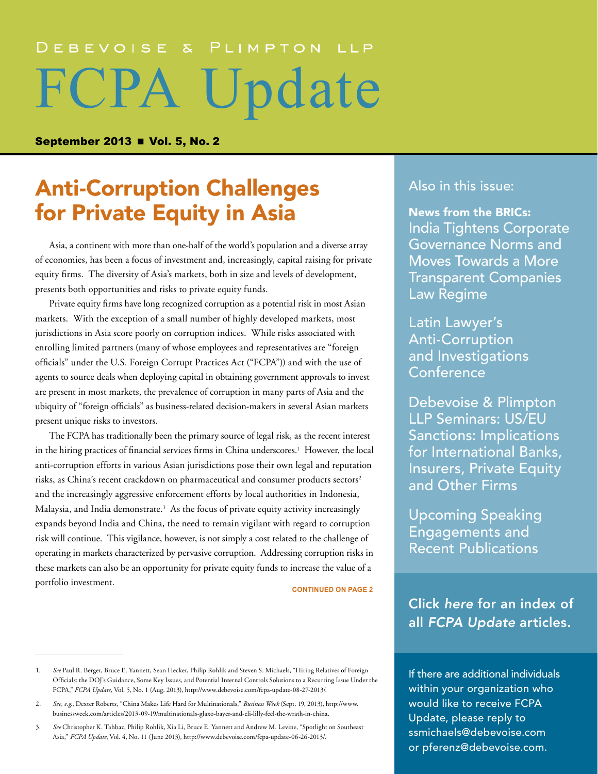# DEBEVOISE & PLIMPTON LLP FCPA Update

September 2013  $\blacksquare$  Vol. 5, No. 2

# Anti-Corruption Challenges for Private Equity in Asia

Asia, a continent with more than one-half of the world's population and a diverse array of economies, has been a focus of investment and, increasingly, capital raising for private equity firms. The diversity of Asia's markets, both in size and levels of development, presents both opportunities and risks to private equity funds.

Private equity firms have long recognized corruption as a potential risk in most Asian markets. With the exception of a small number of highly developed markets, most jurisdictions in Asia score poorly on corruption indices. While risks associated with enrolling limited partners (many of whose employees and representatives are "foreign officials" under the U.S. Foreign Corrupt Practices Act ("FCPA")) and with the use of agents to source deals when deploying capital in obtaining government approvals to invest are present in most markets, the prevalence of corruption in many parts of Asia and the ubiquity of "foreign officials" as business-related decision-makers in several Asian markets present unique risks to investors.

The FCPA has traditionally been the primary source of legal risk, as the recent interest in the hiring practices of financial services firms in China underscores.<sup>1</sup> However, the local anti-corruption efforts in various Asian jurisdictions pose their own legal and reputation risks, as China's recent crackdown on pharmaceutical and consumer products sectors<sup>2</sup> and the increasingly aggressive enforcement efforts by local authorities in Indonesia, Malaysia, and India demonstrate.<sup>3</sup> As the focus of private equity activity increasingly expands beyond India and China, the need to remain vigilant with regard to corruption risk will continue. This vigilance, however, is not simply a cost related to the challenge of operating in markets characterized by pervasive corruption. Addressing corruption risks in these markets can also be an opportunity for private equity funds to increase the value of a portfolio investment. **CONTINUED ON PAGE 2**

# [Also in this issue:](#page-6-0)

[News from the BRICs:](#page-6-1) [India Tightens Corporate](#page-6-1)  [Governance Norms and](#page-6-1)  [Moves Towards a More](#page-6-1)  [Transparent Companies](#page-6-1)  [Law Regime](#page-6-1)

Latin Lawyer's Anti-Corruption and Investigations Conference

[Debevoise & Plimpton](#page-9-0)  [LLP Seminars: US/EU](#page-9-0)  [Sanctions: Implications](#page-9-0)  [for International Banks,](#page-9-0)  [Insurers, Private Equity](#page-9-0)  [and Other Firms](#page-9-0)

[Upcoming Speaking](#page-10-0)  [Engagements and](#page-10-0)  [Recent Publications](#page-10-0)

Click *here* [for an index of](www.debevoise.com/publications/FCPA_Index.pdf)  all *[FCPA Update](www.debevoise.com/publications/FCPA_Index.pdf)* articles.

If there are additional individuals within your organization who would like to receive FCPA Update, please reply to [ssmichaels@debevoise.com](mailto:ssmichaels@debevoise.com)  or [pferenz@debevoise.com.](mailto:pferenz@debevoise.com)

<sup>1.</sup> *See* Paul R. Berger, Bruce E. Yannett, Sean Hecker, Philip Rohlik and Steven S. Michaels, "Hiring Relatives of Foreign Officials: the DOJ's Guidance, Some Key Issues, and Potential Internal Controls Solutions to a Recurring Issue Under the FCPA," *FCPA Update*, Vol. 5, No. 1 (Aug. 2013),<http://www.debevoise.com/fcpa-update-08-27-2013/>.

<sup>2.</sup> *See, e.g.*, Dexter Roberts, "China Makes Life Hard for Multinationals," *Business Week* (Sept. 19, 2013), [http://www.](http://www.businessweek.com/articles/2013-09-19/multinationals-glaxo-bayer-and-eli-lilly-feel-the-wrath-in-china) [businessweek.com/articles/2013-09-19/multinationals-glaxo-bayer-and-eli-lilly-feel-the-wrath-in-china.](http://www.businessweek.com/articles/2013-09-19/multinationals-glaxo-bayer-and-eli-lilly-feel-the-wrath-in-china)

<sup>3.</sup> *See* Christopher K. Tahbaz, Philip Rohlik, Xia Li, Bruce E. Yannett and Andrew M. Levine, "Spotlight on Southeast Asia," *FCPA Update*, Vol. 4, No. 11 (June 2013), <http://www.debevoise.com/fcpa-update-06-26-2013/>.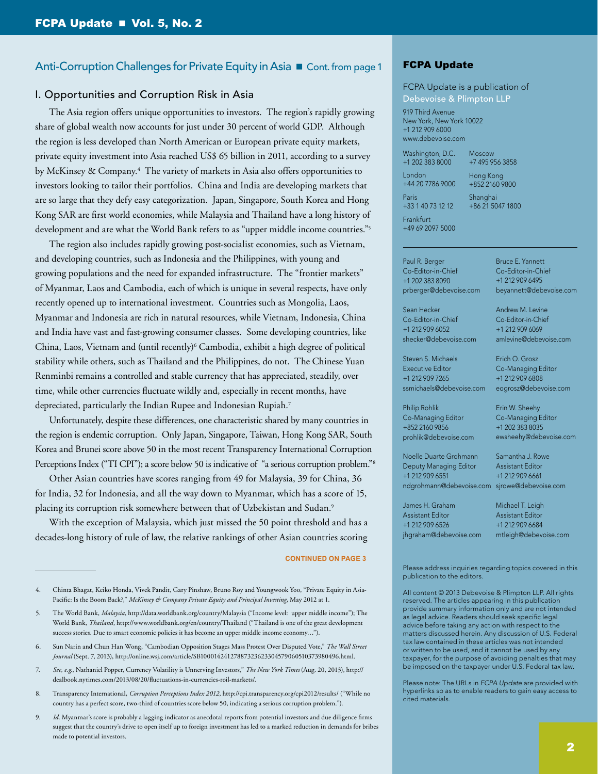### I. Opportunities and Corruption Risk in Asia

The Asia region offers unique opportunities to investors. The region's rapidly growing share of global wealth now accounts for just under 30 percent of world GDP. Although the region is less developed than North American or European private equity markets, private equity investment into Asia reached US\$ 65 billion in 2011, according to a survey by McKinsey & Company.4 The variety of markets in Asia also offers opportunities to investors looking to tailor their portfolios. China and India are developing markets that are so large that they defy easy categorization. Japan, Singapore, South Korea and Hong Kong SAR are first world economies, while Malaysia and Thailand have a long history of development and are what the World Bank refers to as "upper middle income countries."5

The region also includes rapidly growing post-socialist economies, such as Vietnam, and developing countries, such as Indonesia and the Philippines, with young and growing populations and the need for expanded infrastructure. The "frontier markets" of Myanmar, Laos and Cambodia, each of which is unique in several respects, have only recently opened up to international investment. Countries such as Mongolia, Laos, Myanmar and Indonesia are rich in natural resources, while Vietnam, Indonesia, China and India have vast and fast-growing consumer classes. Some developing countries, like China, Laos, Vietnam and (until recently)<sup>6</sup> Cambodia, exhibit a high degree of political stability while others, such as Thailand and the Philippines, do not. The Chinese Yuan Renminbi remains a controlled and stable currency that has appreciated, steadily, over time, while other currencies fluctuate wildly and, especially in recent months, have depreciated, particularly the Indian Rupee and Indonesian Rupiah.7

Unfortunately, despite these differences, one characteristic shared by many countries in the region is endemic corruption. Only Japan, Singapore, Taiwan, Hong Kong SAR, South Korea and Brunei score above 50 in the most recent Transparency International Corruption Perceptions Index ("TI CPI"); a score below 50 is indicative of "a serious corruption problem."<sup>8</sup>

Other Asian countries have scores ranging from 49 for Malaysia, 39 for China, 36 for India, 32 for Indonesia, and all the way down to Myanmar, which has a score of 15, placing its corruption risk somewhere between that of Uzbekistan and Sudan.<sup>9</sup>

With the exception of Malaysia, which just missed the 50 point threshold and has a decades-long history of rule of law, the relative rankings of other Asian countries scoring

#### **CONTINUED ON PAGE 3**

- 8. Transparency International, *Corruption Perceptions Index 2012*, <http://cpi.transparency.org/cpi2012/results/>("While no country has a perfect score, two-third of countries score below 50, indicating a serious corruption problem.").
- 9. *Id.* Myanmar's score is probably a lagging indicator as anecdotal reports from potential investors and due diligence firms suggest that the country's drive to open itself up to foreign investment has led to a marked reduction in demands for bribes made to potential investors.

### FCPA Update

### FCPA Update is a publication of Debevoise & Plimpton LLP

919 Third Avenue New York, New York 10022 +1 212 909 6000 www.debevoise.com

Washington, D.C. Moscow

+1 202 383 8000 London +44 20 7786 9000

Hong Kong +852 2160 9800

> Bruce E. Yannett Co-Editor-in-Chief +1 212 909 6495

Andrew M. Levine Co-Editor-in-Chief +1 212 909 6069 amlevine@debevoise.com

Erich O. Grosz Co-Managing Editor +1 212 909 6808 eogrosz@debevoise.com

Erin W. Sheehy Co-Managing Editor +1 202 383 8035

Samantha J. Rowe Assistant Editor

beyannett@debevoise.com

+7 495 956 3858

Shanghai +86 21 5047 1800

Frankfurt +49 69 2097 5000

+33 1 40 73 12 12

Paris

Paul R. Berger Co-Editor-in-Chief +1 202 383 8090 prberger@debevoise.com

Sean Hecker Co-Editor-in-Chief +1 212 909 6052 shecker@debevoise.com

Steven S. Michaels Executive Editor +1 212 909 7265 ssmichaels@debevoise.com

Philip Rohlik Co-Managing Editor +852 2160 9856 prohlik@debevoise.com

Noelle Duarte Grohmann Deputy Managing Editor +1 212 909 6551 ndgrohmann@debevoise.com sjrowe@debevoise.com

+1 212 909 6661 Michael T. Leigh

ewsheehy@debevoise.com

Assistant Editor +1 212 909 6526 jhgraham@debevoise.com

James H. Graham

Assistant Editor +1 212 909 6684 mtleigh@debevoise.com

Please address inquiries regarding topics covered in this publication to the editors.

All content © 2013 Debevoise & Plimpton LLP. All rights reserved. The articles appearing in this publication provide summary information only and are not intended as legal advice. Readers should seek specific legal advice before taking any action with respect to the matters discussed herein. Any discussion of U.S. Federal tax law contained in these articles was not intended or written to be used, and it cannot be used by any taxpayer, for the purpose of avoiding penalties that may be imposed on the taxpayer under U.S. Federal tax law.

Please note: The URLs in *FCPA Update* are provided with hyperlinks so as to enable readers to gain easy access to cited materials.

<sup>4.</sup> Chinta Bhagat, Keiko Honda, Vivek Pandit, Gary Pinshaw, Bruno Roy and Youngwook Yoo, "Private Equity in Asia-Pacific: Is the Boom Back?," *McKinsey & Company Private Equity and Principal Investing*, May 2012 at 1.

<sup>5.</sup> The World Bank, *Malaysia*,<http://data.worldbank.org/country/Malaysia> ("Income level: upper middle income"); The World Bank, *Thailand*,<http://www.worldbank.org/en/country/Thailand> ("Thailand is one of the great development success stories. Due to smart economic policies it has become an upper middle income economy…").

<sup>6.</sup> Sun Narin and Chun Han Wong, "Cambodian Opposition Stages Mass Protest Over Disputed Vote," *The Wall Street Journal* (Sept. 7, 2013),<http://online.wsj.com/article/SB10001424127887323623304579060510373980496.html>.

<sup>7.</sup> *See, e.g.*, Nathaniel Popper, Currency Volatility is Unnerving Investors," *The New York Times* (Aug. 20, 2013), [http://](http://dealbook.nytimes.com/2013/08/20/fluctuations-in-currencies-roil-markets/) [dealbook.nytimes.com/2013/08/20/fluctuations-in-currencies-roil-markets/.](http://dealbook.nytimes.com/2013/08/20/fluctuations-in-currencies-roil-markets/)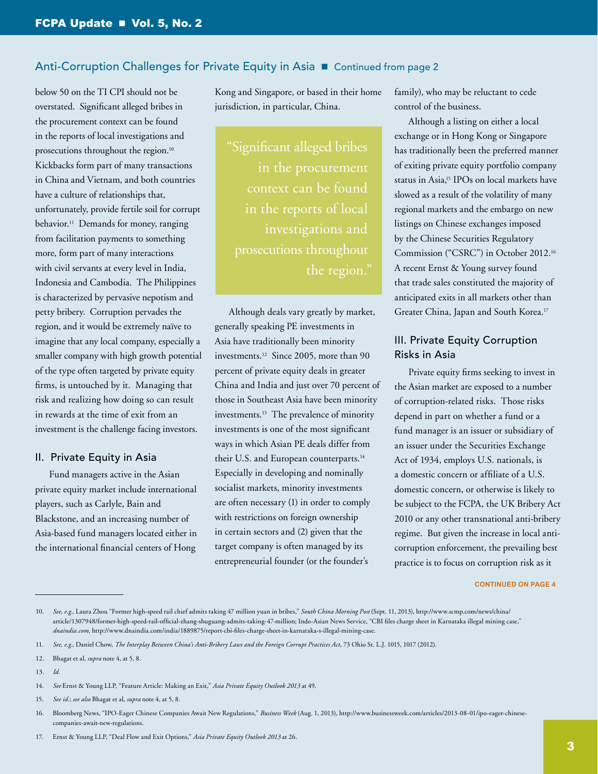below 50 on the TI CPI should not be overstated. Significant alleged bribes in the procurement context can be found in the reports of local investigations and prosecutions throughout the region.<sup>10</sup> Kickbacks form part of many transactions in China and Vietnam, and both countries have a culture of relationships that, unfortunately, provide fertile soil for corrupt behavior.<sup>11</sup> Demands for money, ranging from facilitation payments to something more, form part of many interactions with civil servants at every level in India, Indonesia and Cambodia. The Philippines is characterized by pervasive nepotism and petty bribery. Corruption pervades the region, and it would be extremely naïve to imagine that any local company, especially a smaller company with high growth potential of the type often targeted by private equity firms, is untouched by it. Managing that risk and realizing how doing so can result in rewards at the time of exit from an investment is the challenge facing investors.

### II. Private Equity in Asia

Fund managers active in the Asian private equity market include international players, such as Carlyle, Bain and Blackstone, and an increasing number of Asia-based fund managers located either in the international financial centers of Hong

Kong and Singapore, or based in their home jurisdiction, in particular, China.

"Significant alleged bribes context can be found prosecutions throughout the region."

Although deals vary greatly by market, generally speaking PE investments in Asia have traditionally been minority investments.12 Since 2005, more than 90 percent of private equity deals in greater China and India and just over 70 percent of those in Southeast Asia have been minority investments.13 The prevalence of minority investments is one of the most significant ways in which Asian PE deals differ from their U.S. and European counterparts.14 Especially in developing and nominally socialist markets, minority investments are often necessary (1) in order to comply with restrictions on foreign ownership in certain sectors and (2) given that the target company is often managed by its entrepreneurial founder (or the founder's

family), who may be reluctant to cede control of the business.

Although a listing on either a local exchange or in Hong Kong or Singapore has traditionally been the preferred manner of exiting private equity portfolio company status in Asia,15 IPOs on local markets have slowed as a result of the volatility of many regional markets and the embargo on new listings on Chinese exchanges imposed by the Chinese Securities Regulatory Commission ("CSRC") in October 2012.16 A recent Ernst & Young survey found that trade sales constituted the majority of anticipated exits in all markets other than Greater China, Japan and South Korea.17

# III. Private Equity Corruption Risks in Asia

Private equity firms seeking to invest in the Asian market are exposed to a number of corruption-related risks. Those risks depend in part on whether a fund or a fund manager is an issuer or subsidiary of an issuer under the Securities Exchange Act of 1934, employs U.S. nationals, is a domestic concern or affiliate of a U.S. domestic concern, or otherwise is likely to be subject to the FCPA, the UK Bribery Act 2010 or any other transnational anti-bribery regime. But given the increase in local anticorruption enforcement, the prevailing best practice is to focus on corruption risk as it

<sup>10.</sup> *See, e.g.*, Laura Zhou "Former high-speed rail chief admits taking 47 million yuan in bribes," *South China Morning Post* (Sept. 11, 2013), [http://www.scmp.com/news/china/](http://www.scmp.com/news/china/article/1307948/former-high-speed-rail-official-zhang-shuguang-admits-taking-47-million) [article/1307948/former-high-speed-rail-official-zhang-shuguang-admits-taking-47-million](http://www.scmp.com/news/china/article/1307948/former-high-speed-rail-official-zhang-shuguang-admits-taking-47-million); Indo-Asian News Service, "CBI files charge sheet in Karnataka illegal mining case," *dnaindia.com*,<http://www.dnaindia.com/india/1889875/report-cbi-files-charge-sheet-in-karnataka-s-illegal-mining-case>.

<sup>11.</sup> *See, e.g.*, Daniel Chow, *The Interplay Between China's Anti-Bribery Laws and the Foreign Corrupt Practices Act*, 73 Ohio St. L.J. 1015, 1017 (2012).

<sup>12.</sup> Bhagat et al, *supra* note 4, at 5, 8.

<sup>13.</sup> *Id.*

<sup>14.</sup> *See* Ernst & Young LLP, "Feature Article: Making an Exit," *Asia Private Equity Outlook 2013* at 49.

<sup>15.</sup> *See id.*; *see also* Bhagat et al, *supra* note 4, at 5, 8.

<sup>16.</sup> Bloomberg News, "IPO-Eager Chinese Companies Await New Regulations," *Business Week* (Aug. 1, 2013), [http://www.businessweek.com/articles/2013-08-01/ipo-eager-chinese](http://www.businessweek.com/articles/2013-08-01/ipo-eager-chinese-companies-await-new-regulations)[companies-await-new-regulations.](http://www.businessweek.com/articles/2013-08-01/ipo-eager-chinese-companies-await-new-regulations)

<sup>17.</sup> Ernst & Young LLP, "Deal Flow and Exit Options," *Asia Private Equity Outlook 2013* at 26.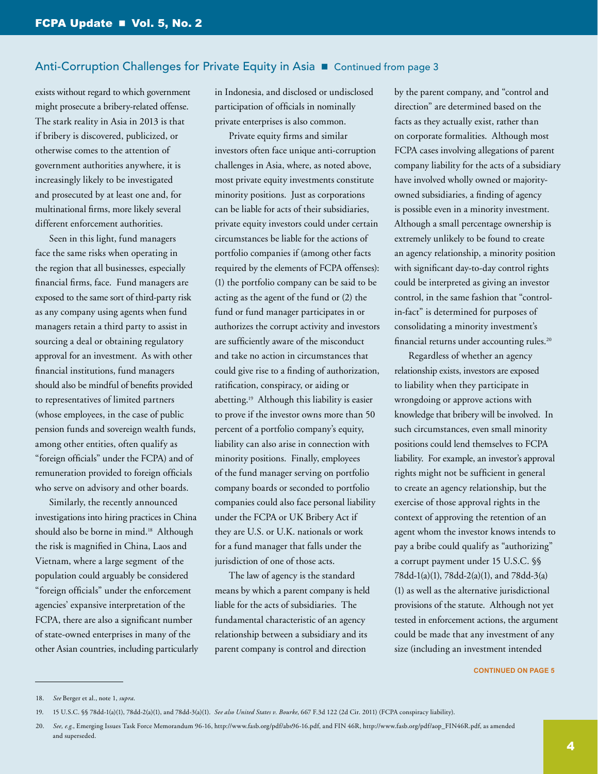exists without regard to which government might prosecute a bribery-related offense. The stark reality in Asia in 2013 is that if bribery is discovered, publicized, or otherwise comes to the attention of government authorities anywhere, it is increasingly likely to be investigated and prosecuted by at least one and, for multinational firms, more likely several different enforcement authorities.

Seen in this light, fund managers face the same risks when operating in the region that all businesses, especially financial firms, face. Fund managers are exposed to the same sort of third-party risk as any company using agents when fund managers retain a third party to assist in sourcing a deal or obtaining regulatory approval for an investment. As with other financial institutions, fund managers should also be mindful of benefits provided to representatives of limited partners (whose employees, in the case of public pension funds and sovereign wealth funds, among other entities, often qualify as "foreign officials" under the FCPA) and of remuneration provided to foreign officials who serve on advisory and other boards.

Similarly, the recently announced investigations into hiring practices in China should also be borne in mind.<sup>18</sup> Although the risk is magnified in China, Laos and Vietnam, where a large segment of the population could arguably be considered "foreign officials" under the enforcement agencies' expansive interpretation of the FCPA, there are also a significant number of state-owned enterprises in many of the other Asian countries, including particularly in Indonesia, and disclosed or undisclosed participation of officials in nominally private enterprises is also common.

Private equity firms and similar investors often face unique anti-corruption challenges in Asia, where, as noted above, most private equity investments constitute minority positions. Just as corporations can be liable for acts of their subsidiaries, private equity investors could under certain circumstances be liable for the actions of portfolio companies if (among other facts required by the elements of FCPA offenses): (1) the portfolio company can be said to be acting as the agent of the fund or (2) the fund or fund manager participates in or authorizes the corrupt activity and investors are sufficiently aware of the misconduct and take no action in circumstances that could give rise to a finding of authorization, ratification, conspiracy, or aiding or abetting.19 Although this liability is easier to prove if the investor owns more than 50 percent of a portfolio company's equity, liability can also arise in connection with minority positions. Finally, employees of the fund manager serving on portfolio company boards or seconded to portfolio companies could also face personal liability under the FCPA or UK Bribery Act if they are U.S. or U.K. nationals or work for a fund manager that falls under the jurisdiction of one of those acts.

The law of agency is the standard means by which a parent company is held liable for the acts of subsidiaries. The fundamental characteristic of an agency relationship between a subsidiary and its parent company is control and direction

by the parent company, and "control and direction" are determined based on the facts as they actually exist, rather than on corporate formalities. Although most FCPA cases involving allegations of parent company liability for the acts of a subsidiary have involved wholly owned or majorityowned subsidiaries, a finding of agency is possible even in a minority investment. Although a small percentage ownership is extremely unlikely to be found to create an agency relationship, a minority position with significant day-to-day control rights could be interpreted as giving an investor control, in the same fashion that "controlin-fact" is determined for purposes of consolidating a minority investment's financial returns under accounting rules.20

Regardless of whether an agency relationship exists, investors are exposed to liability when they participate in wrongdoing or approve actions with knowledge that bribery will be involved. In such circumstances, even small minority positions could lend themselves to FCPA liability. For example, an investor's approval rights might not be sufficient in general to create an agency relationship, but the exercise of those approval rights in the context of approving the retention of an agent whom the investor knows intends to pay a bribe could qualify as "authorizing" a corrupt payment under 15 U.S.C. §§ 78dd-1(a)(1), 78dd-2(a)(1), and 78dd-3(a) (1) as well as the alternative jurisdictional provisions of the statute. Although not yet tested in enforcement actions, the argument could be made that any investment of any size (including an investment intended

<sup>18.</sup> *See* Berger et al., note 1, *supra*.

<sup>19.</sup> 15 U.S.C. §§ 78dd-1(a)(1), 78dd-2(a)(1), and 78dd-3(a)(1). *See also United States v. Bourke*, 667 F.3d 122 (2d Cir. 2011) (FCPA conspiracy liability).

<sup>20.</sup> *See, e.g.*, Emerging Issues Task Force Memorandum 96-16, [http://www.fasb.org/pdf/abs96-16.pdf,](http://www.fasb.org/pdf/abs96-16.pdf) and FIN 46R, [http://www.fasb.org/pdf/aop\\_FIN46R.pdf](http://www.fasb.org/pdf/aop_FIN46R.pdf), as amended and superseded.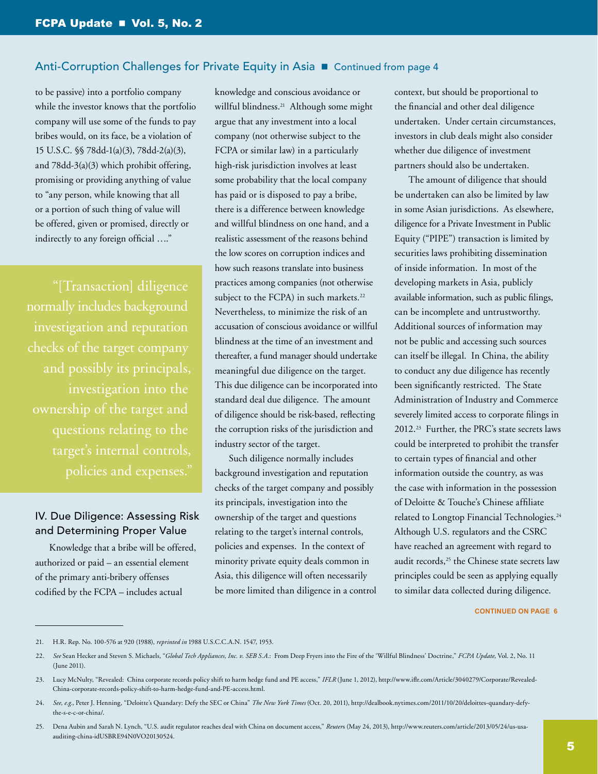to be passive) into a portfolio company while the investor knows that the portfolio company will use some of the funds to pay bribes would, on its face, be a violation of 15 U.S.C. §§ 78dd-1(a)(3), 78dd-2(a)(3), and 78dd-3(a)(3) which prohibit offering, promising or providing anything of value to "any person, while knowing that all or a portion of such thing of value will be offered, given or promised, directly or indirectly to any foreign official …."

"[Transaction] diligence normally includes background investigation and reputation checks of the target company and possibly its principals, investigation into the target's internal controls, policies and expenses."

# IV. Due Diligence: Assessing Risk and Determining Proper Value

Knowledge that a bribe will be offered, authorized or paid – an essential element of the primary anti-bribery offenses codified by the FCPA – includes actual

knowledge and conscious avoidance or willful blindness.<sup>21</sup> Although some might argue that any investment into a local company (not otherwise subject to the FCPA or similar law) in a particularly high-risk jurisdiction involves at least some probability that the local company has paid or is disposed to pay a bribe, there is a difference between knowledge and willful blindness on one hand, and a realistic assessment of the reasons behind the low scores on corruption indices and how such reasons translate into business practices among companies (not otherwise subject to the FCPA) in such markets.<sup>22</sup> Nevertheless, to minimize the risk of an accusation of conscious avoidance or willful blindness at the time of an investment and thereafter, a fund manager should undertake meaningful due diligence on the target. This due diligence can be incorporated into standard deal due diligence. The amount of diligence should be risk-based, reflecting the corruption risks of the jurisdiction and industry sector of the target.

Such diligence normally includes background investigation and reputation checks of the target company and possibly its principals, investigation into the ownership of the target and questions relating to the target's internal controls, policies and expenses. In the context of minority private equity deals common in Asia, this diligence will often necessarily be more limited than diligence in a control context, but should be proportional to the financial and other deal diligence undertaken. Under certain circumstances, investors in club deals might also consider whether due diligence of investment partners should also be undertaken.

The amount of diligence that should be undertaken can also be limited by law in some Asian jurisdictions. As elsewhere, diligence for a Private Investment in Public Equity ("PIPE") transaction is limited by securities laws prohibiting dissemination of inside information. In most of the developing markets in Asia, publicly available information, such as public filings, can be incomplete and untrustworthy. Additional sources of information may not be public and accessing such sources can itself be illegal. In China, the ability to conduct any due diligence has recently been significantly restricted. The State Administration of Industry and Commerce severely limited access to corporate filings in 2012.23 Further, the PRC's state secrets laws could be interpreted to prohibit the transfer to certain types of financial and other information outside the country, as was the case with information in the possession of Deloitte & Touche's Chinese affiliate related to Longtop Financial Technologies.24 Although U.S. regulators and the CSRC have reached an agreement with regard to audit records,<sup>25</sup> the Chinese state secrets law principles could be seen as applying equally to similar data collected during diligence.

<sup>21.</sup> H.R. Rep. No. 100-576 at 920 (1988), *reprinted in* 1988 U.S.C.C.A.N. 1547, 1953.

<sup>22.</sup> *See* Sean Hecker and Steven S. Michaels, "*Global Tech Appliances, Inc. v. SEB S.A.*: From Deep Fryers into the Fire of the 'Willful Blindness' Doctrine," *FCPA Update*, Vol. 2, No. 11 (June 2011).

<sup>23.</sup> Lucy McNulty, "Revealed: China corporate records policy shift to harm hedge fund and PE access," *IFLR* (June 1, 2012), [http://www.iflr.com/Article/3040279/Corporate/Revealed-](http://www.iflr.com/Article/3040279/Corporate/Revealed-China-corporate-records-policy-shift-to-harm-hedge-fund-and-PE-access.html)[China-corporate-records-policy-shift-to-harm-hedge-fund-and-PE-access.html.](http://www.iflr.com/Article/3040279/Corporate/Revealed-China-corporate-records-policy-shift-to-harm-hedge-fund-and-PE-access.html)

<sup>24.</sup> *See, e.g.*, Peter J. Henning, "Deloitte's Quandary: Defy the SEC or China" *The New York Times* (Oct. 20, 2011), [http://dealbook.nytimes.com/2011/10/20/deloittes-quandary-defy](http://dealbook.nytimes.com/2011/10/20/deloittes-quandary-defy-the-s-e-c-or-china/)[the-s-e-c-or-china/](http://dealbook.nytimes.com/2011/10/20/deloittes-quandary-defy-the-s-e-c-or-china/).

<sup>25.</sup> Dena Aubin and Sarah N. Lynch, "U.S. audit regulator reaches deal with China on document access," *Reuter*s (May 24, 2013), [http://www.reuters.com/article/2013/05/24/us-usa](http://www.reuters.com/article/2013/05/24/us-usa-auditing-china-idUSBRE94N0VO20130524)[auditing-china-idUSBRE94N0VO20130524](http://www.reuters.com/article/2013/05/24/us-usa-auditing-china-idUSBRE94N0VO20130524).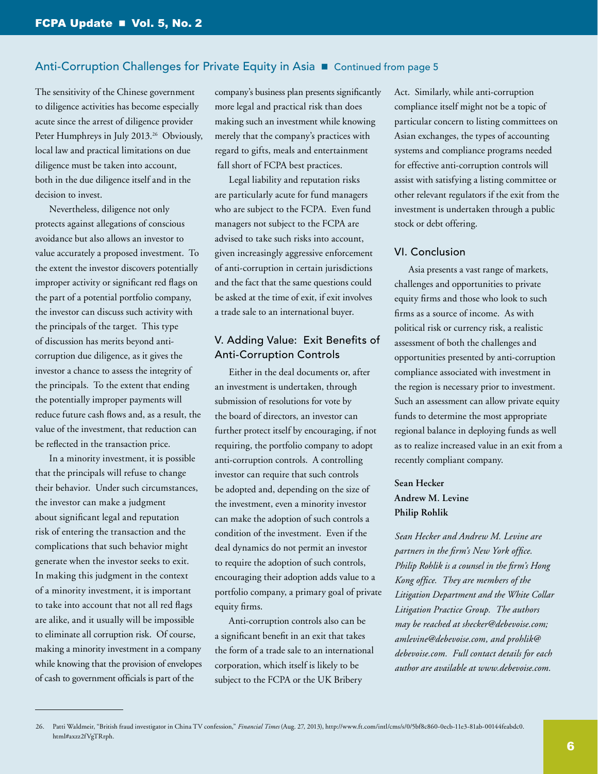The sensitivity of the Chinese government to diligence activities has become especially acute since the arrest of diligence provider Peter Humphreys in July 2013.<sup>26</sup> Obviously, local law and practical limitations on due diligence must be taken into account, both in the due diligence itself and in the decision to invest.

Nevertheless, diligence not only protects against allegations of conscious avoidance but also allows an investor to value accurately a proposed investment. To the extent the investor discovers potentially improper activity or significant red flags on the part of a potential portfolio company, the investor can discuss such activity with the principals of the target. This type of discussion has merits beyond anticorruption due diligence, as it gives the investor a chance to assess the integrity of the principals. To the extent that ending the potentially improper payments will reduce future cash flows and, as a result, the value of the investment, that reduction can be reflected in the transaction price.

In a minority investment, it is possible that the principals will refuse to change their behavior. Under such circumstances, the investor can make a judgment about significant legal and reputation risk of entering the transaction and the complications that such behavior might generate when the investor seeks to exit. In making this judgment in the context of a minority investment, it is important to take into account that not all red flags are alike, and it usually will be impossible to eliminate all corruption risk. Of course, making a minority investment in a company while knowing that the provision of envelopes of cash to government officials is part of the

company's business plan presents significantly more legal and practical risk than does making such an investment while knowing merely that the company's practices with regard to gifts, meals and entertainment fall short of FCPA best practices.

Legal liability and reputation risks are particularly acute for fund managers who are subject to the FCPA. Even fund managers not subject to the FCPA are advised to take such risks into account, given increasingly aggressive enforcement of anti-corruption in certain jurisdictions and the fact that the same questions could be asked at the time of exit, if exit involves a trade sale to an international buyer.

# V. Adding Value: Exit Benefits of Anti-Corruption Controls

Either in the deal documents or, after an investment is undertaken, through submission of resolutions for vote by the board of directors, an investor can further protect itself by encouraging, if not requiring, the portfolio company to adopt anti-corruption controls. A controlling investor can require that such controls be adopted and, depending on the size of the investment, even a minority investor can make the adoption of such controls a condition of the investment. Even if the deal dynamics do not permit an investor to require the adoption of such controls, encouraging their adoption adds value to a portfolio company, a primary goal of private equity firms.

Anti-corruption controls also can be a significant benefit in an exit that takes the form of a trade sale to an international corporation, which itself is likely to be subject to the FCPA or the UK Bribery

Act. Similarly, while anti-corruption compliance itself might not be a topic of particular concern to listing committees on Asian exchanges, the types of accounting systems and compliance programs needed for effective anti-corruption controls will assist with satisfying a listing committee or other relevant regulators if the exit from the investment is undertaken through a public stock or debt offering.

### VI. Conclusion

Asia presents a vast range of markets, challenges and opportunities to private equity firms and those who look to such firms as a source of income. As with political risk or currency risk, a realistic assessment of both the challenges and opportunities presented by anti-corruption compliance associated with investment in the region is necessary prior to investment. Such an assessment can allow private equity funds to determine the most appropriate regional balance in deploying funds as well as to realize increased value in an exit from a recently compliant company.

# **Sean Hecker Andrew M. Levine Philip Rohlik**

*Sean Hecker and Andrew M. Levine are partners in the firm's New York office. Philip Rohlik is a counsel in the firm's Hong Kong office. They are members of the Litigation Department and the White Collar Litigation Practice Group. The authors may be reached at [shecker@debevoise.com](mailto:shecker%40debevoise.com?subject=); [amlevine@debevoise.com](mailto:amlevine%40debevoise.com?subject=), and [prohlik@](mailto:rohlik%40debevoise.com?subject=) [debevoise.com.](mailto:rohlik%40debevoise.com?subject=) Full contact details for each author are available at [www.debevoise.com.](www.debevoise.com)* 

<sup>26.</sup> Patti Waldmeir, "British fraud investigator in China TV confession," *Financial Times* (Aug. 27, 2013), [http://www.ft.com/intl/cms/s/0/5bf8c860-0ecb-11e3-81ab-00144feabdc0.](http://www.ft.com/intl/cms/s/0/5bf8c860-0ecb-11e3-81ab-00144feabdc0.html%23axzz2fVgTRrph) [html#axzz2fVgTRrph](http://www.ft.com/intl/cms/s/0/5bf8c860-0ecb-11e3-81ab-00144feabdc0.html%23axzz2fVgTRrph).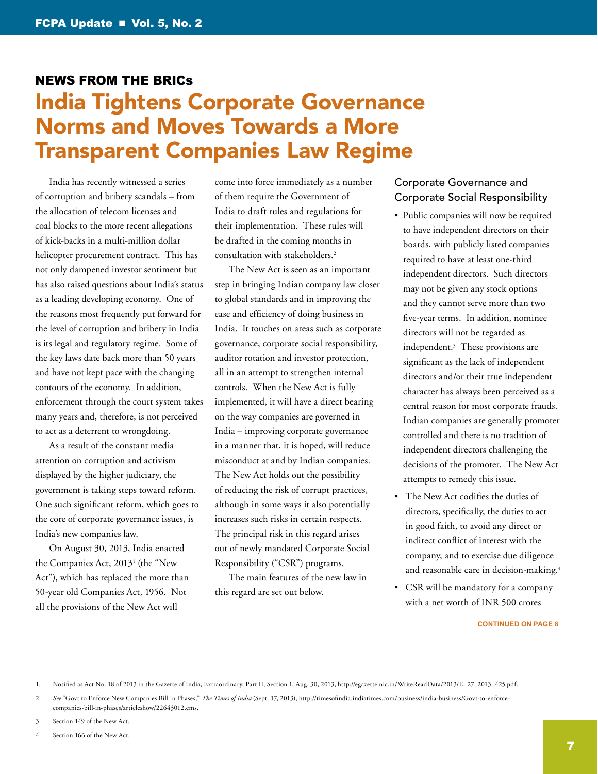# <span id="page-6-1"></span><span id="page-6-0"></span>News from the BRICs India Tightens Corporate Governance Norms and Moves Towards a More Transparent Companies Law Regime

India has recently witnessed a series of corruption and bribery scandals – from the allocation of telecom licenses and coal blocks to the more recent allegations of kick-backs in a multi-million dollar helicopter procurement contract. This has not only dampened investor sentiment but has also raised questions about India's status as a leading developing economy. One of the reasons most frequently put forward for the level of corruption and bribery in India is its legal and regulatory regime. Some of the key laws date back more than 50 years and have not kept pace with the changing contours of the economy. In addition, enforcement through the court system takes many years and, therefore, is not perceived to act as a deterrent to wrongdoing.

As a result of the constant media attention on corruption and activism displayed by the higher judiciary, the government is taking steps toward reform. One such significant reform, which goes to the core of corporate governance issues, is India's new companies law.

On August 30, 2013, India enacted the Companies Act, 20131 (the "New Act"), which has replaced the more than 50-year old Companies Act, 1956. Not all the provisions of the New Act will

come into force immediately as a number of them require the Government of India to draft rules and regulations for their implementation. These rules will be drafted in the coming months in consultation with stakeholders.2

The New Act is seen as an important step in bringing Indian company law closer to global standards and in improving the ease and efficiency of doing business in India. It touches on areas such as corporate governance, corporate social responsibility, auditor rotation and investor protection, all in an attempt to strengthen internal controls. When the New Act is fully implemented, it will have a direct bearing on the way companies are governed in India – improving corporate governance in a manner that, it is hoped, will reduce misconduct at and by Indian companies. The New Act holds out the possibility of reducing the risk of corrupt practices, although in some ways it also potentially increases such risks in certain respects. The principal risk in this regard arises out of newly mandated Corporate Social Responsibility ("CSR") programs.

The main features of the new law in this regard are set out below.

## Corporate Governance and Corporate Social Responsibility

- Public companies will now be required to have independent directors on their boards, with publicly listed companies required to have at least one-third independent directors. Such directors may not be given any stock options and they cannot serve more than two five-year terms. In addition, nominee directors will not be regarded as independent.3 These provisions are significant as the lack of independent directors and/or their true independent character has always been perceived as a central reason for most corporate frauds. Indian companies are generally promoter controlled and there is no tradition of independent directors challenging the decisions of the promoter. The New Act attempts to remedy this issue.
- The New Act codifies the duties of directors, specifically, the duties to act in good faith, to avoid any direct or indirect conflict of interest with the company, and to exercise due diligence and reasonable care in decision-making.<sup>4</sup>
- CSR will be mandatory for a company with a net worth of INR 500 crores

<sup>1.</sup> Notified as Act No. 18 of 2013 in the Gazette of India, Extraordinary, Part II, Section 1, Aug. 30, 2013, [http://egazette.nic.in/WriteReadData/2013/E\\_27\\_2013\\_425.pdf.](http://egazette.nic.in/WriteReadData/2013/E_27_2013_425.pdf)

<sup>2.</sup> *See* "Govt to Enforce New Companies Bill in Phases," *The Times of India* (Sept. 17, 2013), [http://timesofindia.indiatimes.com/business/india-business/Govt-to-enforce](http://timesofindia.indiatimes.com/business/india-business/Govt-to-enforce-companies-bill-in-phases/articleshow/22643012.cms)[companies-bill-in-phases/articleshow/22643012.cms.](http://timesofindia.indiatimes.com/business/india-business/Govt-to-enforce-companies-bill-in-phases/articleshow/22643012.cms)

<sup>3.</sup> Section 149 of the New Act.

<sup>4.</sup> Section 166 of the New Act.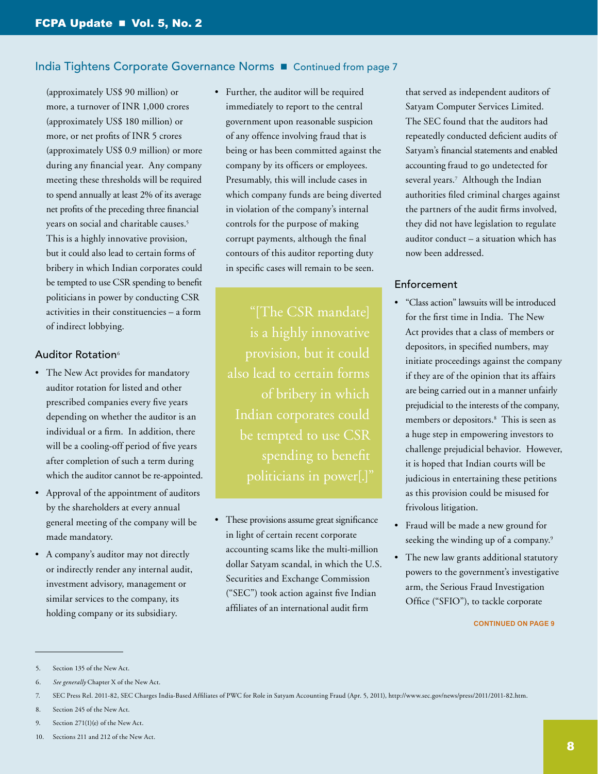# India Tightens Corporate Governance Norms **n** Continued from page 7

(approximately US\$ 90 million) or more, a turnover of INR 1,000 crores (approximately US\$ 180 million) or more, or net profits of INR 5 crores (approximately US\$ 0.9 million) or more during any financial year. Any company meeting these thresholds will be required to spend annually at least 2% of its average net profits of the preceding three financial years on social and charitable causes.5 This is a highly innovative provision, but it could also lead to certain forms of bribery in which Indian corporates could be tempted to use CSR spending to benefit politicians in power by conducting CSR activities in their constituencies – a form of indirect lobbying.

### Auditor Rotation<sup>6</sup>

- The New Act provides for mandatory auditor rotation for listed and other prescribed companies every five years depending on whether the auditor is an individual or a firm. In addition, there will be a cooling-off period of five years after completion of such a term during which the auditor cannot be re-appointed.
- Approval of the appointment of auditors by the shareholders at every annual general meeting of the company will be made mandatory.
- A company's auditor may not directly or indirectly render any internal audit, investment advisory, management or similar services to the company, its holding company or its subsidiary.

• Further, the auditor will be required immediately to report to the central government upon reasonable suspicion of any offence involving fraud that is being or has been committed against the company by its officers or employees. Presumably, this will include cases in which company funds are being diverted in violation of the company's internal controls for the purpose of making corrupt payments, although the final contours of this auditor reporting duty in specific cases will remain to be seen.

"[The CSR mandate] is a highly innovative also lead to certain forms of bribery in which Indian corporates could be tempted to use CSR spending to benefit

• These provisions assume great significance in light of certain recent corporate accounting scams like the multi-million dollar Satyam scandal, in which the U.S. Securities and Exchange Commission ("SEC") took action against five Indian affiliates of an international audit firm

that served as independent auditors of Satyam Computer Services Limited. The SEC found that the auditors had repeatedly conducted deficient audits of Satyam's financial statements and enabled accounting fraud to go undetected for several years.7 Although the Indian authorities filed criminal charges against the partners of the audit firms involved, they did not have legislation to regulate auditor conduct – a situation which has now been addressed.

### Enforcement

- "Class action" lawsuits will be introduced for the first time in India. The New Act provides that a class of members or depositors, in specified numbers, may initiate proceedings against the company if they are of the opinion that its affairs are being carried out in a manner unfairly prejudicial to the interests of the company, members or depositors.8 This is seen as a huge step in empowering investors to challenge prejudicial behavior. However, it is hoped that Indian courts will be judicious in entertaining these petitions as this provision could be misused for frivolous litigation.
- Fraud will be made a new ground for seeking the winding up of a company.<sup>9</sup>
- The new law grants additional statutory powers to the government's investigative arm, the Serious Fraud Investigation Office ("SFIO"), to tackle corporate

<sup>5.</sup> Section 135 of the New Act.

<sup>6.</sup> *See generally* Chapter X of the New Act.

<sup>7.</sup> SEC Press Rel. 2011-82, SEC Charges India-Based Affiliates of PWC for Role in Satyam Accounting Fraud (Apr. 5, 2011), [http://www.sec.gov/news/press/2011/2011-82.htm.](http://www.sec.gov/news/press/2011/2011-82.htm)

<sup>8.</sup> Section 245 of the New Act.

<sup>9.</sup> Section 271(1)(e) of the New Act.

<sup>10.</sup> Sections 211 and 212 of the New Act.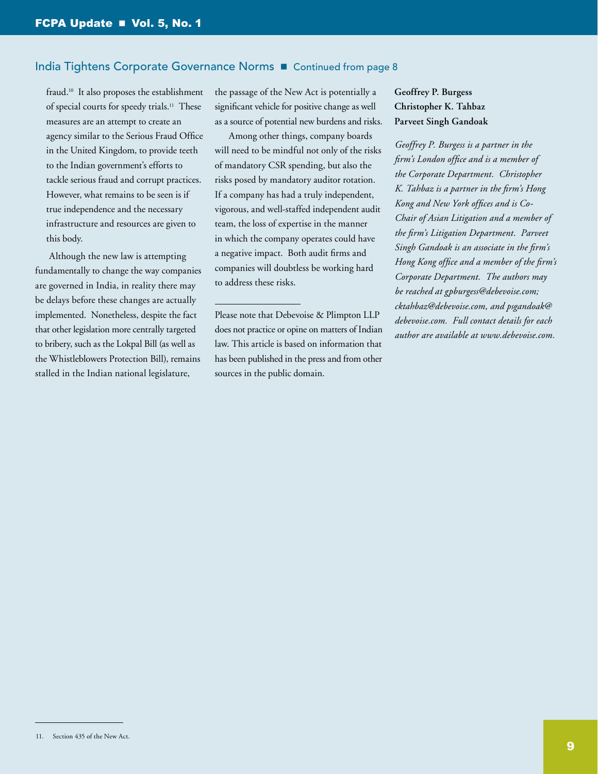### India Tightens Corporate Governance Norms **n** Continued from page 8

fraud.10 It also proposes the establishment of special courts for speedy trials.<sup>11</sup> These measures are an attempt to create an agency similar to the Serious Fraud Office in the United Kingdom, to provide teeth to the Indian government's efforts to tackle serious fraud and corrupt practices. However, what remains to be seen is if true independence and the necessary infrastructure and resources are given to this body.

Although the new law is attempting fundamentally to change the way companies are governed in India, in reality there may be delays before these changes are actually implemented. Nonetheless, despite the fact that other legislation more centrally targeted to bribery, such as the Lokpal Bill (as well as the Whistleblowers Protection Bill), remains stalled in the Indian national legislature,

the passage of the New Act is potentially a significant vehicle for positive change as well as a source of potential new burdens and risks.

Among other things, company boards will need to be mindful not only of the risks of mandatory CSR spending, but also the risks posed by mandatory auditor rotation. If a company has had a truly independent, vigorous, and well-staffed independent audit team, the loss of expertise in the manner in which the company operates could have a negative impact. Both audit firms and companies will doubtless be working hard to address these risks.

Please note that Debevoise & Plimpton LLP does not practice or opine on matters of Indian law. This article is based on information that has been published in the press and from other sources in the public domain.

# **Geoffrey P. Burgess Christopher K. Tahbaz Parveet Singh Gandoak**

*Geoffrey P. Burgess is a partner in the firm's London office and is a member of the Corporate Department. Christopher K. Tahbaz is a partner in the firm's Hong Kong and New York offices and is Co-Chair of Asian Litigation and a member of the firm's Litigation Department. Parveet Singh Gandoak is an associate in the firm's Hong Kong office and a member of the firm's Corporate Department. The authors may be reached at [gpburgess@debevoise.com;](mailto:gpburgess%40debevoise.com?subject=) [cktahbaz@debevoise.com,](mailto:cktahbaz%40debevoise.com?subject=) and [psgandoak@](mailto:psgandoak%40debevoise.com?subject=) [debevoise.com.](mailto:psgandoak%40debevoise.com?subject=) Full contact details for each author are available at [www.debevoise.com.](www.debevoise.com)*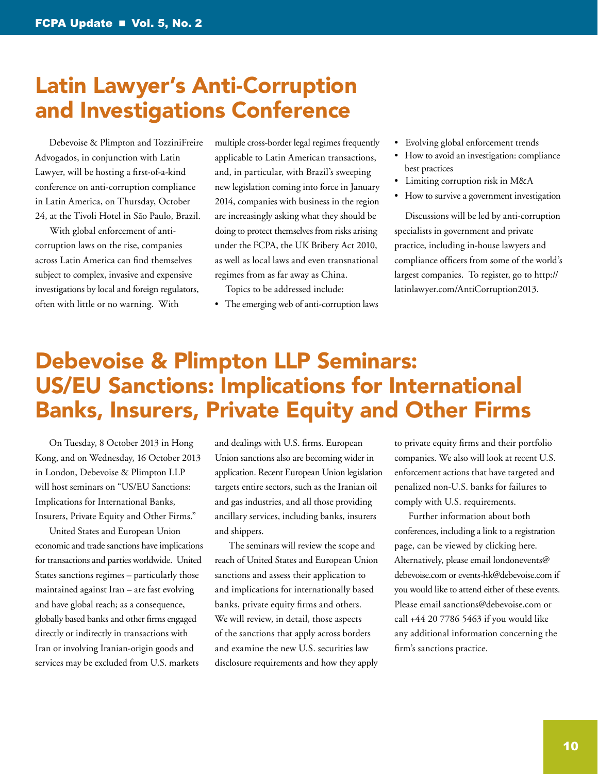# Latin Lawyer's Anti-Corruption and Investigations Conference

Debevoise & Plimpton and TozziniFreire Advogados, in conjunction with Latin Lawyer, will be hosting a first-of-a-kind conference on anti-corruption compliance in Latin America, on Thursday, October 24, at the Tivoli Hotel in São Paulo, Brazil.

With global enforcement of anticorruption laws on the rise, companies across Latin America can find themselves subject to complex, invasive and expensive investigations by local and foreign regulators, often with little or no warning. With

multiple cross-border legal regimes frequently applicable to Latin American transactions, and, in particular, with Brazil's sweeping new legislation coming into force in January 2014, companies with business in the region are increasingly asking what they should be doing to protect themselves from risks arising under the FCPA, the UK Bribery Act 2010, as well as local laws and even transnational regimes from as far away as China.

Topics to be addressed include:

• The emerging web of anti-corruption laws

- Evolving global enforcement trends
- How to avoid an investigation: compliance best practices
- Limiting corruption risk in M&A
- How to survive a government investigation

Discussions will be led by anti-corruption specialists in government and private practice, including in-house lawyers and compliance officers from some of the world's largest companies. To register, go to http:// latinlawyer.com/AntiCorruption2013.

# <span id="page-9-0"></span>Debevoise & Plimpton LLP Seminars: US/EU Sanctions: Implications for International Banks, Insurers, Private Equity and Other Firms

On Tuesday, 8 October 2013 in Hong Kong, and on Wednesday, 16 October 2013 in London, Debevoise & Plimpton LLP will host seminars on "US/EU Sanctions: Implications for International Banks, Insurers, Private Equity and Other Firms."

United States and European Union economic and trade sanctions have implications for transactions and parties worldwide. United States sanctions regimes – particularly those maintained against Iran – are fast evolving and have global reach; as a consequence, globally based banks and other firms engaged directly or indirectly in transactions with Iran or involving Iranian-origin goods and services may be excluded from U.S. markets

and dealings with U.S. firms. European Union sanctions also are becoming wider in application. Recent European Union legislation targets entire sectors, such as the Iranian oil and gas industries, and all those providing ancillary services, including banks, insurers and shippers.

The seminars will review the scope and reach of United States and European Union sanctions and assess their application to and implications for internationally based banks, private equity firms and others. We will review, in detail, those aspects of the sanctions that apply across borders and examine the new U.S. securities law disclosure requirements and how they apply to private equity firms and their portfolio companies. We also will look at recent U.S. enforcement actions that have targeted and penalized non-U.S. banks for failures to comply with U.S. requirements.

Further information about both conferences, including a link to a registration page, can be viewed by clicking here. Alternatively, please email londonevents@ debevoise.com or events-hk@debevoise.com if you would like to attend either of these events. Please email sanctions@debevoise.com or call +44 20 7786 5463 if you would like any additional information concerning the firm's sanctions practice.